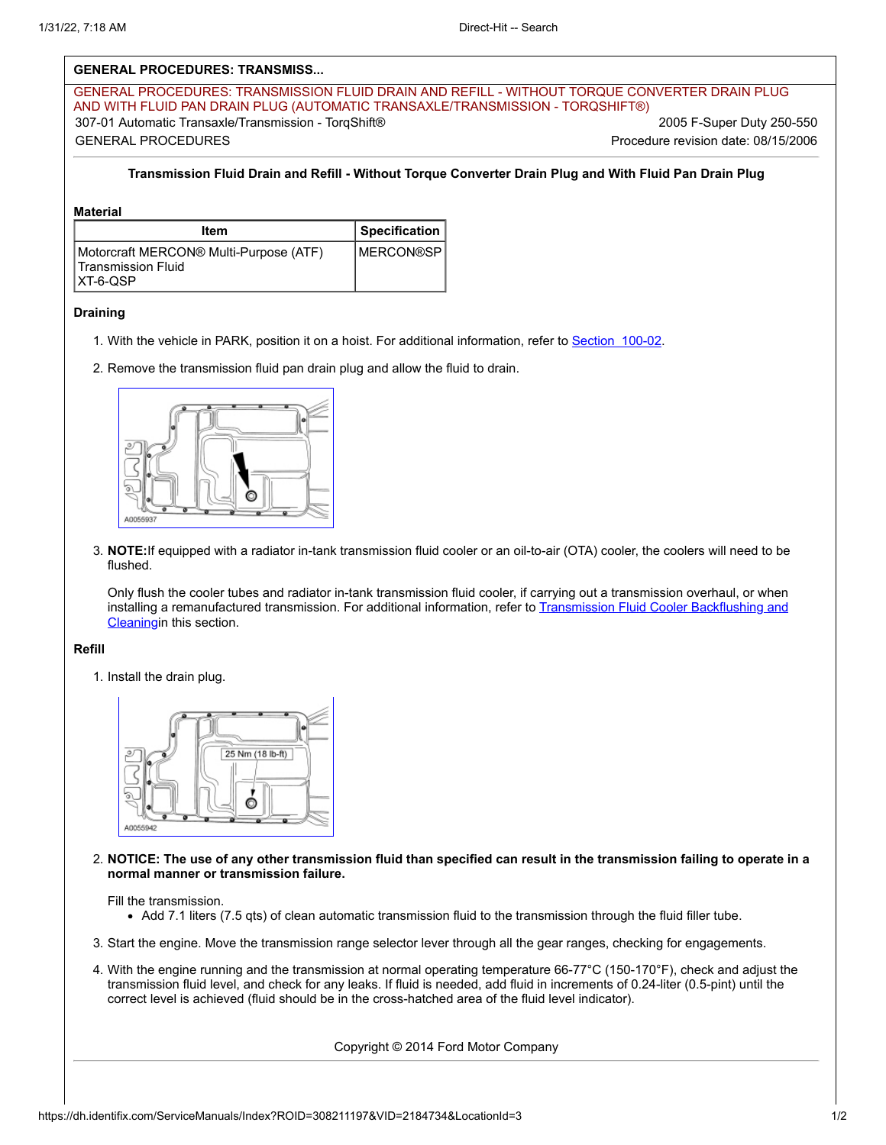# **GENERAL PROCEDURES: TRANSMISS...**

GENERAL PROCEDURES: TRANSMISSION FLUID DRAIN AND REFILL - WITHOUT TORQUE CONVERTER DRAIN PLUG AND WITH FLUID PAN DRAIN PLUG (AUTOMATIC TRANSAXLE/TRANSMISSION - TORQSHIFT®) 307-01 Automatic Transaxle/Transmission - TorqShift® 2005 F-Super Duty 250-550 GENERAL PROCEDURES Procedure revision date: 08/15/2006

## **Transmission Fluid Drain and Refill - Without Torque Converter Drain Plug and With Fluid Pan Drain Plug**

#### **Material**

| Item                                                                      | Specification      |
|---------------------------------------------------------------------------|--------------------|
| Motorcraft MERCON® Multi-Purpose (ATF)<br>Transmission Fluid<br>IXT-6-OSP | <b>IMERCON®SPI</b> |

#### **Draining**

- 1. With the vehicle in PARK, position it on a hoist. For additional information, refer to Section 100-02.
- 2. Remove the transmission fluid pan drain plug and allow the fluid to drain.



3. **NOTE:**If equipped with a radiator in-tank transmission fluid cooler or an oil-to-air (OTA) cooler, the coolers will need to be flushed.

Only flush the cooler tubes and radiator in-tank transmission fluid cooler, if carrying out a transmission overhaul, or when installing a remanufactured transmission. For additional information, refer to Transmission Fluid Cooler Backflushing and Cleaningin this section.

### **Refill**

1. Install the drain plug.



2. **NOTICE: The use of any other transmission fluid than specified can result in the transmission failing to operate in a normal manner or transmission failure.**

Fill the transmission.

- Add 7.1 liters (7.5 qts) of clean automatic transmission fluid to the transmission through the fluid filler tube.
- 3. Start the engine. Move the transmission range selector lever through all the gear ranges, checking for engagements.
- 4. With the engine running and the transmission at normal operating temperature 66-77°C (150-170°F), check and adjust the transmission fluid level, and check for any leaks. If fluid is needed, add fluid in increments of 0.24-liter (0.5-pint) until the correct level is achieved (fluid should be in the cross-hatched area of the fluid level indicator).

Copyright © 2014 Ford Motor Company